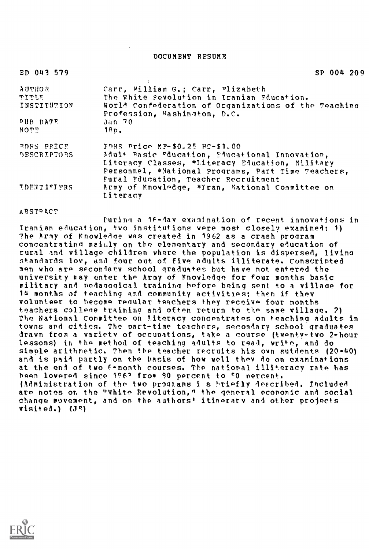DOCUMENT RESUME

| ED 043 579                                          | SP 004 209                                                                                                                                              |
|-----------------------------------------------------|---------------------------------------------------------------------------------------------------------------------------------------------------------|
| <b>AUTHOR</b>                                       | Carr, William G.; Carr, Plizabeth                                                                                                                       |
| $\mathbf{u}$ $\mathbf{u}$ $\mathbf{u}$ $\mathbf{u}$ | The White Revolution in Iranian Fducation.                                                                                                              |
| INSTITUTION                                         | World Confederation of Organizations of the Teaching<br>Profession, Washington, D.C.                                                                    |
| PUB DATE                                            | Jan 70                                                                                                                                                  |
| <b>NOTE</b>                                         | $18D$ .                                                                                                                                                 |
| <b>EDES PRICE</b>                                   | FDRS Price MF-\$0.25 HC-\$1.00                                                                                                                          |
| <b>DESCRIPTORS</b>                                  | Mault Rasic Pducation, Educational Innovation,<br>Literacy Classes, *Literacy Education, Military<br>Personnel, *National Programs, Part Time Teachers, |
|                                                     | Fural Fducation, Teacher Recruitment                                                                                                                    |
| <b>IDENTIFIFRS</b>                                  | Army of Knowledge, *Tran, Wational Committee on<br>literacy                                                                                             |

aPSTPkCT

Purina a 16-dav examination of recent innovations in Iranian education, two institutions were most closely examined: 1) The Army of Knowledge was created in 1962 as a crash program concentrating mainly on the elementary and secondary education of rural and village children where the population is dispersed, livina standards low, and four out of five adults illiterate. Conscripted men who are secondary school graduates but have not entered the university may enter the Army of Knowledge for four months basic military and pedagogical training before being sent to a village for 14 months of teaching and community activities; then if they volunteer to become reaular teachers they receive four months teachers college training and often return to the same village. 2) The National Committee on literacy concentrates on teaching adults in towns and cities. The part-time teachers, secondary school graduates drawn from a variety of occupations, take a course (twenty-two 2-hour lessons) in the method of teaching adults to read, write, and do simple arithmetic. Then the teacher recruits his own sutdents (20-40) and is paid partly on the basis of how well they do on examinations at the end of two f-month courses. The national illiteracy rate has been lowered since 1962 from 90 percent to 50 nercent. (Administration of the two proglans i s briefly described. Included are notes or the "White Revolution," the general economic and social change movement, and on the authors' itinerary and other projects  $visited.)$   $(J<sub>s</sub>)$ 

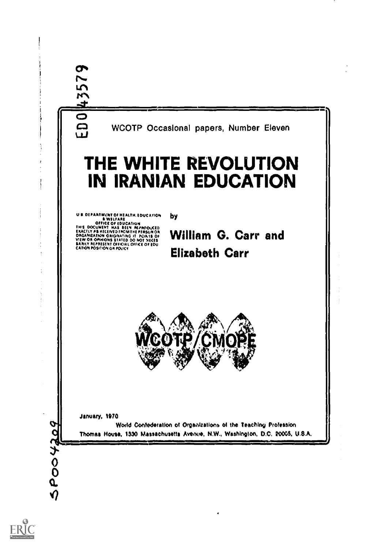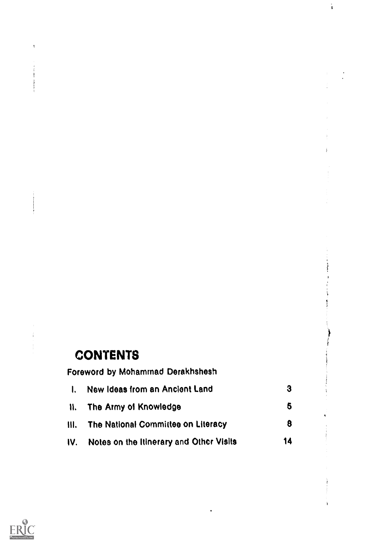# **CONTENTS**

| Foreword by Mohammad Derakhshesh |                                         |    |  |
|----------------------------------|-----------------------------------------|----|--|
| $\mathbf{I}$                     | New Ideas from an Ancient Land          | 3  |  |
| H.                               | The Army of Knowledge                   | 6  |  |
| Ⅲ.                               | The National Committee on Literacy      | 8  |  |
| IV.                              | Notes on the Itinerary and Other Visits | 14 |  |
|                                  |                                         |    |  |

 $\frac{1}{4}$ 



 $\mathbf{I}$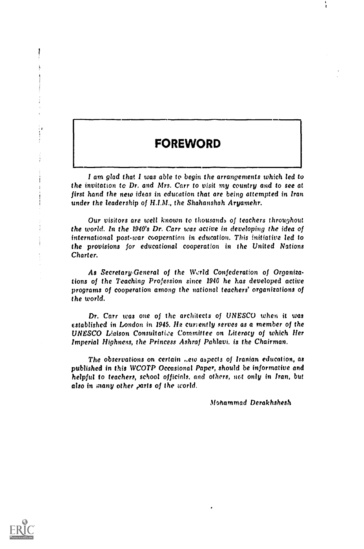#### FOREWORD

I am glad that I was able to begin the arrangements which led to the invitation to Dr, and Mrs. Carr to visit my country and to see at first hand the new ideas in education that are being attempted in Iran under the leadership of HIM., the Shahanshah Aryamehr.

Our visitors are well known to thousands of teachers throughout the world. In the 1940's Dr. Carr was active in developing the idea of international post-war cooperation in education. This initiative led to the provisions for educational cooperation in the United Nations Charter.

As Secretary-General of the World Confederation of Organizations of the Teaching Profession since 1940 he has developed active programs of cooperation among the national teachers' organizations of the world.

Dr. Carr was one of the architects of UNESCO when it was established in London in 1945. He curently serves as a member of the UNESCO Liaison Consuitatiee Committee on Literacy of which Her Imperial Highness, the Princess Ashraf Pahlavi. is the Chairman.

The observations on certain ..ew aspects of Iranian education, as published in this WCOTP Occasional Paper, should be informative and helpful to teachers, school officials, and others, not only in Iran, but also in many other parts of the world.

Mohammad Derakhshesh

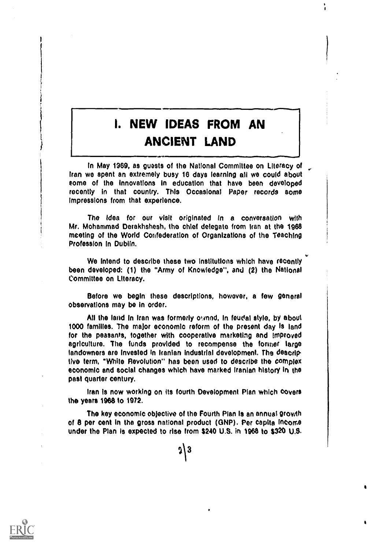## I. NEW IDEAS FROM AN ANCIENT LAND

والمستحمين ويبحثانه

4/

۱,

in May 1969, as guests of the National Committee on Literacy of Iran we spent an extremely busy 16 days learning all we could about some of the Innovations in education that have been developed recently in that country. This Occasional Paper records some Impressions from that experience.

The idea for our visit originated in a conversation with Mr. Mohammad Derakhshesh, the chief delegate from Iran at the 1968 meeting of the World Confederation of Organizations of the Teaching Profession In Dublin.

We Intend to describe these two Institutions which have recently been developed: (1) the "Army of Knowledge", and (2) the National Committee on Literacy.

Before we begin these descriptions, however, a few general observations may be in order.

All the land in Iran was formerly owned, In feudal style, by about 1000 families. The major economic reform of the present day Is land for the peasants, together with cooperative marketing and improved agriculture. The funds provided to recompense the former large landowners are invested in Iranian industrial development. The descriptive term, "While Revolution" has been used to describe the complex economic and social changes which have marked Iranian history In the past quarter century.

Iran Is now working on its fourth Development Plan which covers the years 1968 to 1972.

The key economic objective of the Fourth Plan Is an annual growth of 8 per cent in the gross national product (GNP). Per capita Ineorrie under the Plan Is expected to rise from S240 U.S. in 1968 to \$320 U.S.

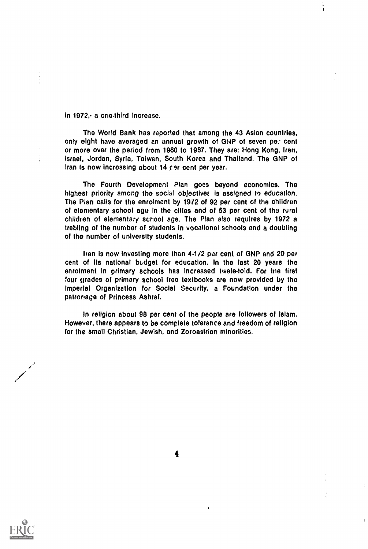In 1972,- a cnethird increase.

The World Bank has reported that among the 43 Asian countries, only eight have averaged an annual growth of GNP of seven pe: cent or more over the period from 1960 to 1967. They are: Hong Kong, Iran, Israel, Jordan, Syria, Taiwan, South Korea and Thailand. The GNP of Iran is now increasing about 14 per cent per year.

The Fourth Development Plan goes beyond economics. The highest priority among the social objectives is assigned to education. The Plan calls for the enrolment by 1972 of 92 per cent of the children of elementary school age In the cities and of 53 per cent of the rural children of elementary school age. The Plan also requires by 1972 a trebling of the number of students In vocational schools and a doubling of the number of university students.

Iran is now Investing more than 4.1/2 per cent of GNP and 20 per cent of its national budget for education. In the last 20 years the enrolment in primary schools has increased tweie-told. For tne first four grades of primary school free textbooks are now provided by the Imperial Organization for Social Security, a Foundation under the patronage of Princess Ashraf.

in religion about 98 per cent of the people are followers of Islam. However, there appears to be complete tolerance and freedom of religion for the small Christian, Jewish, and Zoroastrian minorities.

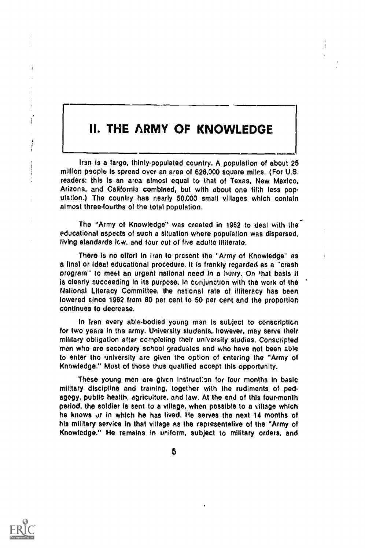### II. THE ARMY OF KNOWLEDGE

Iran is a large, thinly-populated country. A population of about 25 million psople is spread over an area of 628,000 square miles. (For U.S. readers: this Is an area almost equal to that of Texas, New Mexico, Arizona, and California combined, but with about one fifth less population.) The country has nearly 50,000 small villages which contain almost threefourths of the total population.

The "Army of Knowledge" was created in 1962 to deal with the educational aspects of such a situation where population was dispersed, living standards low, and four out of five adulte illiterate.

There is no effort In Iran to present the "Army of Knowledge" as a final or ideal educational procedure. It is frankly regarded as a 'crash program" to meet an urgent national need in a hurry. On that basis it Is clearly succeeding In its purpose. In conjunction with the work of the National Literacy Committee, the national rate of illiteracy has been lowered since 1962 from 80 per cent to 50 per cent and the proportion continues to decrease.

In Iran every able-bodied young man is subject to conscription for two years in the army. University students, however, may serve their military obligation after completing their university studies. Conscripted men who are secondary school graduates and who have not been able to enter the university are given the option of entering the "Army of Knowledge." Most of those thus qualified accept this opportunity.

These young men are given Instruct:on for four months in basic military discipline and training, together with the rudiments of pedagogy, public health, agriculture, and law. At the end of this fourmonth period, the soldier is sent to a village, when possible to a village which he knows or in which he has lived. He serves the next 14 months of his military service in that village as the representative of the "Army of Knowledge." He remains in uniform, subject to military orders, and

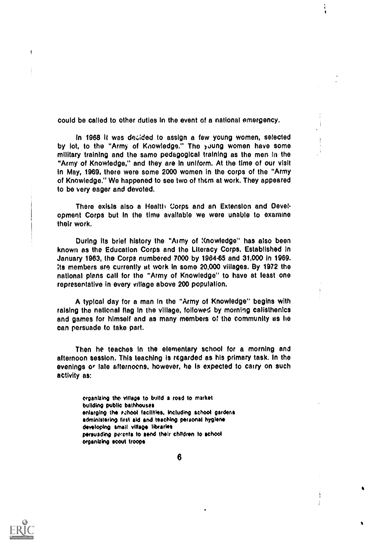could be called to other duties In the event of a national emergency.

i,

In 1968 It was decided to assign a few young women, selected by lot, to the "Army of Knowledge." The young women have some military training and the same pedagogical training as the men in the "Army of Knowledge," and they are In uniform. At the time of our visit In May, 1969, there were some 2000 women in the corps of the "Army of Knowledge." We happened to see two of them at work. They appeared to be very eager and devoted.

There exists also a Health Corps and an Extension and Development Corps but In the time available we were unable to examine their work.

During Its brief history the "Army of Knowledge" has also been known as the Education Corps and the Literacy Corps. Established in January 1963, the Corps numbered 7000 by 1964-65 and 31,000 in 1969. Its members are currently at work In some 20,000 villages. By 1972 the national plans call for the "Army of Knowledge" to have at least one representative in every village above 200 population.

A typical day for a man in the "Army of Knowledge" begins with raising the national flag in the village, followed by morning calisthenics and games for himself and as many members of the community as he can persuade to take part.

Then he teaches in the elementary school for a morning and afternoon session. This teaching is regarded as his primary task. In the evenings or late afternoons, however, he is expected to carry on such activity as:

> organizing tho village to Wilda road to market building public bathhouses enlarging the rahool facilities, Including school gardens administering first aid and teaching personal hygiene developing small village libraries persuading porents to send their children to school organizing scout troops



J.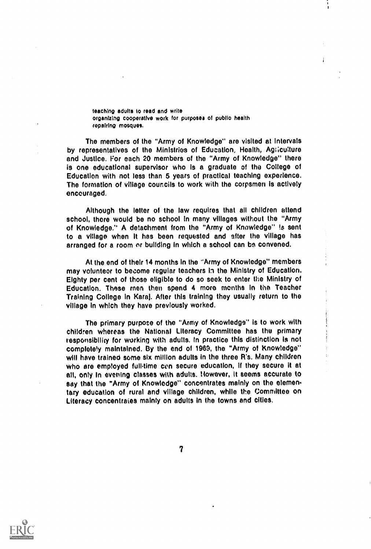teaching adults to read and write organizing cooperative work for purposes of public health repairing mosques.

The members of the "Army of Knowledge" are visited at intervals by representatives of the Ministries of Education, Health, Agriculture and Justice. For each 20 members of the "Army of Knowledge" there is one educational supervisor who is a graduate of the College of Education with not less than 5 years of practical teaching experience. The formation of village councils to work with the corpsmen is actively encouraged.

Although the letter of the law requires that all children attend school, there would be no school in many villages without the "Army of Knowledge." A detachment from the "Army of Knowledge" !s sent to a village when it has been requested and alter the village has arranged for a room nr building in which a school can be convened.

At the end of their 14 months in the "Army of Knowledge" members may volunteer to become regular teachers in the Ministry of Education. Eighty per cent of those eligible to do so seek to enter the Ministry of Education. These men then spend 4 more months In the Teacher Training College in Karaj. After this training they usually return to the village in which they have previously worked.

The primary purpose of the "Army of Knowledge" is to work with children whereas the National Literacy Committee has the primary tesponsibiliry for working with adults. in practice this distinction is not completely maintained. By the end of 1969, the "Army of Knowledge" will have trained some six million adults in the three R's. Many children who are employed full-time can secure education, if they secure it at all, only In evening classes with adults. However, it seems accurate to say that the "Army of Knowledge" concentrates mainly on the elementary education of rural and village children, while the Committee on Literacy concentraies mainly on adults in the towns and cities.

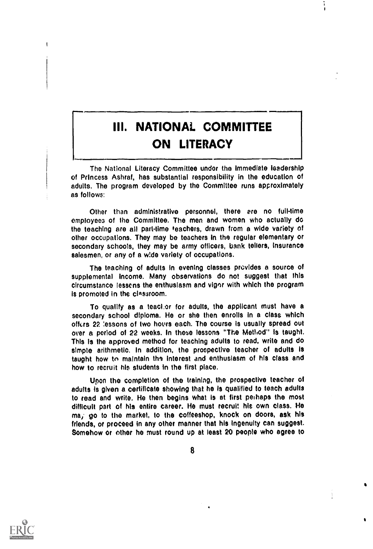### III. NATIONAL COMMITTEE ON LITERACY

=11.11

The National Literacy Committee under the immediate leadership of Princess Ashraf, has substantial responsibility in the education of adults. The program developed by the Committee runs approximately as follows:

Other than administrative personnel, there ere no fulltime employees of the Committee. The men and women who actually do the teaching are all part-time teachers, drawn from a wide variety of other occupations. They may be teachers in the regular elementary or secondary schools, they may be army officers, bank tellers, insurance salesmen, or any of a wide variety of occupations.

The teaching of adults in evening classes provides a source of supplemental income. Many observations do not suggest that this circumstance lessens the enthusiasm and vigor with which the program Is promoted in the classroom.

To qualify as a teacher for adults, the applicant must have a secondary school diploma. He or she then enrolls in a class which offers 22 lessons of two hours each. The course is usually spread out over a period of 22 weeks. In these lessons "The Method" Is taught. This is the approved method for teaching adults to read, write and do simple arithmetic. In addition, the prospective teacher of adults is taught how to maintain the interest and enthusiasm of his class and how to recruit his students In the first place.

Upon the completion of the training, the prospective teacher of adults is given a certificate showing that he is qualified to teach adults to read and write. He then begins what is at first perhaps the most difficult part of his entire career. He must recruit his own class. He ma,- go to the market, to the coffeeshop, knock on doors, ask his friends, or proceed in any other manner that his ingenuity can suggest. Somehow or other he must round up at least 20 people who agree to

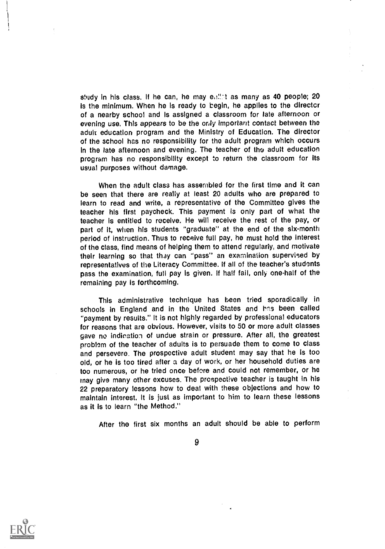study in his class. If he can, he may ealler as many as 40 people;  $20$ is the minimum. When he is ready to begin, he applies to the director of a nearby school and is assigned a classroom for late afternoon or evening use. This appears to be the only important contact between the adult education program and the Ministry of Education. The director of the school has no responsibility for tho adult program which occurs in the late afternoon and evening. The teacher of the adult education program has no responsibility except to return the classroom for Its usual purposes without damage.

When the adult class has assembled for the first time and it can be seen that there are really at least 20 adults who are prepared to learn to read and write, a representative of the Committee gives the teacher his first paycheck. This payment is only part of what the teacher is entitled to receive. He will receive the rest of the pay, or part of it, when his students "graduate" at the end of the six-month period of instruction. Thus to receive full pay, he must hold the interest of the class, find means of helping them to attend regularly, and motivate their learning so that they can "pass" an examination supervised by representatives of the Literacy Committee. If all of the teacher's students pass the examination, full pay is given. If half fail, only one-half of the remaining pay is forthcoming.

This administrative technique has been tried sporadically in schools in England and in the United States and has been called "payment by results." It is not highly regarded by professional educators for reasons that are obvious. However, visits to 50 or more adult classes gave no indioation of undue strain or pressure. After all, the greatest problem of the teacher of adults is to persuade them to come to class and persevere. The prospective adult student may say that he is too old, or he is too tired after a day of work, or her household duties are too numerous, or he tried once before and could not remember, or he may give many other excuses. The prospective teacher is taught in his 22 preparatory lessons how to deal with these objections and how to maintain interest. It is just as important to him to learn these lessons as it is to learn "the Method."

After the first six months an adult should be able to perform



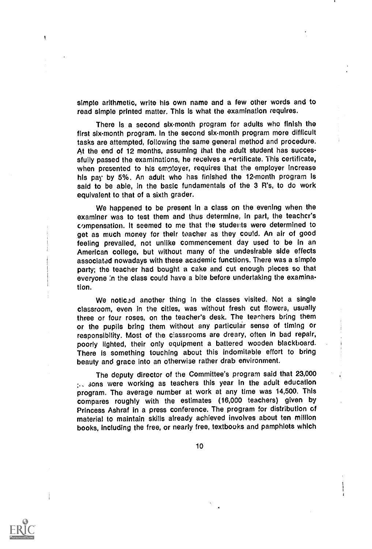simple arithmetic, write his own name and a few other words and to read simple printed matter. This is what the examination requires.

There Is a second six-month program for adults who finish the first six-month program. In the second six-month program more difficult tasks are attempted, following the same general method and procedure. At the end of 12 months, assuming that the adult student has successfully passed the examinations, he receives a nertificate. This certificate, when presented to his empioyer, requires that the employer increase his pay by 5%. An adult who has finished the 12-month program is said to be able, In the basic fundamentals of the 3 R's, to do work equivalent to that of a sixth grader.

We happened to be present in a class on the evening when the examiner was to test them and thus determine, in part, the teacher's compensation. It seemed to me that the students were determined to get as much money for their teacher as they could. An air of good feeling prevailed, not unlike commencement day used to be in an American college, but without many of the undesirable side effects associated nowadays with these academic functions. There was a simple party; the teacher had bought a cake and cut enough pieces so that everyone :n the class could have a bite before undertaking the examination.

We noticed another thing in the classes visited. Not a single classroom, even In the cities, was without fresh cut flowers, usually three or four roses, on the teacher's desk. The teachers bring them or the pupils bring them without any particular sense of timing or responsibility. Most of the ciassrooms are dreary, often in bad repair, poorly lighted, their only equipment a battered wooden blackboard. There is something touching about this indomitable effort to bring beauty and grace into an otherwise rather drab environment.

The deputy director of the Committee's program said that 23,000 secalistic were working as teachers this year in the adult education program. The average number at work at any time was 14,500. This compares roughly with the estimates (16,000 teachers) given by Princess Ashraf in a press conference. The program for distribution of material to maintain skills already achieved involves about ten million books, including the free, or nearly free, textbooks and pamphlets which

10

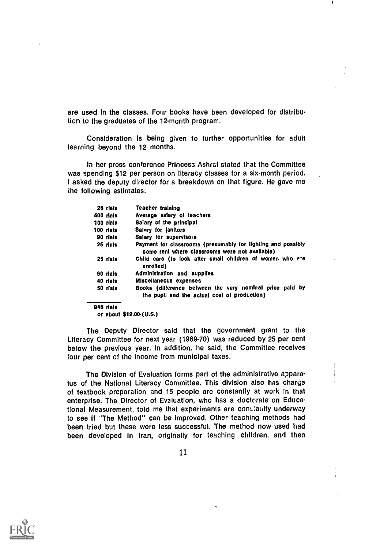are used in the classes. Four books have been developed for distribution to the graduates of the 12-month program.

Consideration is being given to further opportunities for adult learning beyond the 12 months.

In her press conference Princess Ashraf stated that the Committee was spending \$12 per person on literacy classes for a six-month period. I asked the deputy director for a breakdown on that figure. He gave me the following estimates:

| 26 rials  | Teacher training                                                                                               |  |
|-----------|----------------------------------------------------------------------------------------------------------------|--|
| 400 rials | Average salary of teachers                                                                                     |  |
| 100 rials | Salary of the principal                                                                                        |  |
| 100 rials | Salary for janitors                                                                                            |  |
| 90 rials  | Salary for supervisors                                                                                         |  |
| 25 rials  | Payment for classrooms (presumably for lighting and possibly<br>some rent where classrooms were not available) |  |
| 25 rials  | Child care (to look after small children of women who ere<br>enrolled)                                         |  |
| 90 rials  | Administration and supplies                                                                                    |  |
| 40 rials  | Miscellaneous expenses                                                                                         |  |
| 50 rials  | Books (difference between the very nominal price paid by<br>the pupil and the actual cost of production)       |  |
| 946 rials |                                                                                                                |  |

or about \$12.00 (U.S.)

The Deputy Director said that the government grant to the Literacy Committee for next year (1969-70) was reduced by 25 per cent below the previous year. In addition, he said, the Committee receives four per cent of the income from municipal taxes.

The Division of Evaluation forms part of the administrative apparatus of the National Literacy Committee. This division also has charge of textbook preparation and 15 people are constantly at work in that enterprise. The Director of Evaluation, who has a doctorate on Educational Measurement, told me that experiments are constantly underway to see if "The Method" can be improved. Other teaching methods had been tried but these were less successful. The method now used had been developed in Iran, originally for teaching children, and then

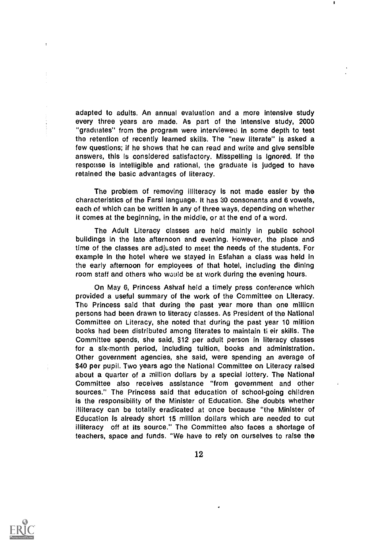adapted to adults. An annual evaluation and a more intensive study every three years are made. As part of the intensive study, 2000 "graduates" from the program were interviewed in some depth to test the retention of recently learned skills. The "new literate" is asked a few questions; if he shows that he can read and write and give sensible answers, this is considered satisfactory. Misspelling is ignored. If the response is intelligible and rational, the graduate is judged to have retained the basic advantages of literacy.

The problem of removing illiteracy is not made easier by the characteristics of the Farsi language. It has 30 consonants and 6 vowels, each of which can be written in any of three ways, depending on whether it comes at the beginning, in the middle, or at the end of a word.

The Adult Literacy classes are held mainly in public school buildings in the late afternoon and evening. However, the place and time of the classes are adjusted to meet the needs of the students. For example in the hotel where we stayed in Esfahan a class was held in the early afternoon for employees of that hotel, including the dining room staff and others who would be at work during the evening hours.

On May 6, Princess Ashraf held a timely press conference which provided a useful summary of the work of the Committee on Literacy. The Princess said that during the past year more than one million persons had been drawn to literacy classes. As President of the National Committee on Literacy, she noted that during the past year 10 million books had been distributed among literates to maintain ti eir skills. The Committee spends, she said, \$12 per adult person in literacy classes for a six-month period, including tuition, books and administration. Other government agencies, she said, were spending an average of \$40 per pupil. Two years ago the National Committee on Literacy raised about a quarter of a million dollars by a special lottery. The National Committee also receives assistance "from government and other sources." The Princess said that education of school-going children is the responsibility of the Minister of Education. She doubts whether illiteracy can be totally eradicated at once because "the Minister of Education is already short 15 million dollars which are needed to cut illiteracy off at its source." The Committee also faces a shortage of teachers, space and funds. "We have to rely on ourselves to raise the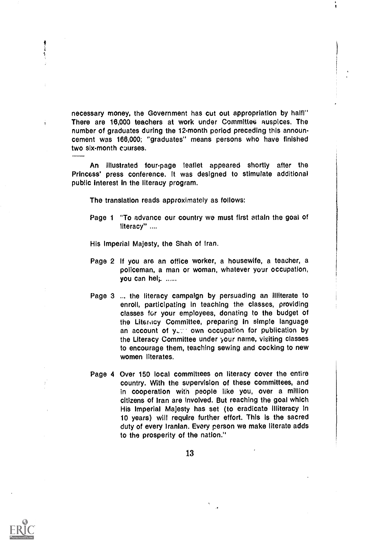necessary money, the Government has cut out appropriation by halfi" There are 16,000 teachers at work under Committee auspices. The number of graduates during the 12-month period preceding this announcement was 166,000; "graduates" means persons who have finished two six-month courses.

An Illustrated four-page leaflet appeared shortly after the Princess' press conference. It was designed to stimulate additional public Interest in the literacy program.

The translation reads approximately as follows:

Page 1 "To advance our country we must first attain the goal of literacy" ....

His Imperial Majesty, the Shah of Iran.

- Page 2 If you are an office worker, a housewife, a teacher, a policeman, a man or woman, whatever your occupation, you can hel<sub>i</sub> ......
- Page 3 ... the literacy campaign by persuading an illiterate to enroll, participating in teaching the classes, providing classes for your employees, donating to the budget of the Literitcy Committee, preparing in simple language an account of your own occupation for publication by the Literacy Committee under your name, visiting classes to encourage them, teaching sewing and cooking to new women literates.
- Page 4 Over 150 local committees on literacy cover the entire country. With the supervision of these committees, and in cooperation with people like you, over a million citizens of Iran are involved. But reaching the goal which His Imperial Majesty has set (to eradicate illiteracy in 10 years) will require further effort. This is the sacred duty of every Iranian. Every person we make literate adds to the prosperity of the nation."



Ą,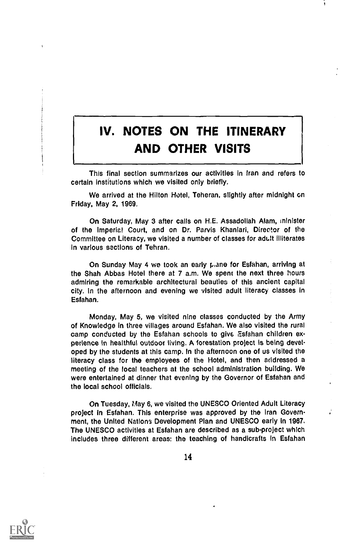# IV. NOTES ON THE ITINERARY AND OTHER VISITS

This final section summarizes our activities in Iran and refers to certain Institutions which we visited only briefly.

We arrived at the Hilton Hotel, Teheran, slightly after midnight on Friday, May 2, 1969.

On Saturday, May 3 after calls on H.E. Assadollah Alam, minister of the Imperial Court, and on Dr. Parvis Khanlari, Director of the Committee on Literacy, we visited a number of classes for adult illiterates in various sections of Tehran.

On Sunday May 4 we took an early piano for Esfahan, arriving at the Shah Abbas Hotel there at 7 a.m. We spent the next three hours admiring the remarkable architectural beauties of this ancient capital city. In the afternoon and evening we visited adult literacy classes in Esfahan.

Monday, May 5, we visited nine classes conducted by the Army of Knowledge in three villages around Esfahan. We also visited the rural camp conducted by the Esfahan schools to give, Esfahan children experience in healthful outdoor living. A forestation project is being developed by the students at this camp. in the afternoon one of us visited the literacy class for the employees of the Hotel, and then addressed a meeting of the local teachers at the school administration building. We were entertained at dinner that evening by the Governor of Esfahan and the local school officials.

On Tuesday, May 6, we visited the UNESCO Oriented Adult Literacy project In Esfahan. This enterprise was approved by the Iran Government, the United Nations Development Plan and UNESCO early in 1987. The UNESCO activities at Esfahan are described as a sub-project which includes three different areas: the teaching of handicrafts in Esfahan

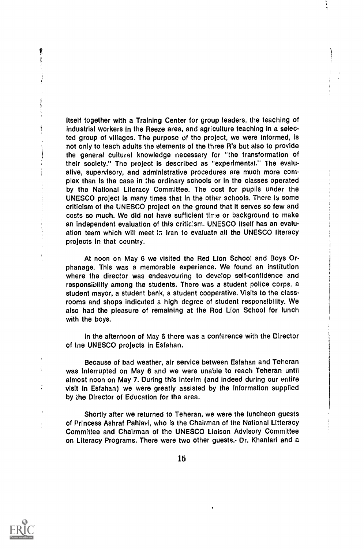Itself together with a Training Center for group leaders, the teaching of Industrial workers in the Reeze area, and agriculture teaching in a selected group of villages. The purpose of the project, we were informed, is not only to teach adults the elements of the three R's but also to provide the general cultural knowledge necessary for "the transformation of their society." The project is described as "experimental." The evaluative, supervisory, and administrative procedures are much more complex than is the case in the ordinary schools or in the classes operated by the National Literacy Committee. The cost for pupils under the UNESCO project is many times that in the other schools. There is some criticism of the UNESCO project on the ground that it serves so few and costs so much. We did not have sufficient time or background to make an independent evaluation of this criticism. UNESCO Itself has an evaluation team which will meet In Iran to evaluate all the UNESCO literacy projects in that country.

At noon on May 6 we visited the Red Lion School and Boys Orphanage. This was a memorable experience. We found an institution where the director was endeavouring to develop self-confidence and responsibility among the students. There was a student police corps, a student mayor, a student bank, a student cooperative. Visits to the classrooms and shops indicated a high degree of student responsibility. We also had the pleasure of remaining at the Rod Lion School for lunch with the boys.

In the afternoon of May 6 there was a conference with the Director of tne UNESCO projects in Esfahan.

Because of bad weather, air service between Esfahan and Teheran was interrupted on May 6 and we were unable to reach Teheran until almost noon on May 7. During this interim (and indeed during our entire visit in Esfahan) we were greatly assisted by the information supplied by the Director of Education for the area.

Shortly after we returned to Teheran, we were the luncheon guests of Princess Ashraf Pahlavi, who is the Chairman of the National Litteracy Committee and Chairman of the UNESCO Liaison Advisory Committee on Literacy Programs. There were two other guests,- Dr. Khaniari and a



ţ

ļ

 $\frac{1}{2}$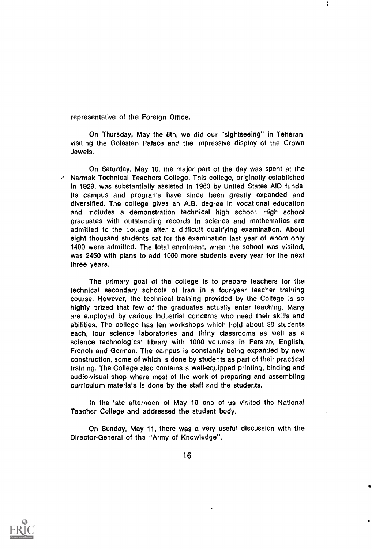representative of the Foreign Office.

On Thursday, May the 8th, we did our "sightseeing" in Teneran, visiting the Golestan Palace and the Impressive display of the Crown Jewels.

On Saturday, May 10, the major part of the day was spent at the  $\epsilon$  Narmak Technical Teachers College. This college, originally established in 1929, was substantially assisted in 1963 by United States AID funds. Its campus and programs have since been greatly expanded and diversified. The college gives an A.B. degree In vocational education and includes a demonstration technical high school. High school graduates with outstanding records in science and mathematics are admitted to the pollage after a difficult qualifying examination. About eight thousand students sat for the examination last year of whom only 1400 were admitted. The total enrolment, when the school was visited, was 2450 with plans to add 1000 more students every year for the next three years.

The primary goal of the college is to prepare teachers for the technical secondary schools of Iran in a four-year teacher traihing course. However, the technical training provided by the College is so highly orized that few of the graduates actually enter teaching. Many are employed by various industrial concerns who need their skills and abilities. The college has ten workshops which hold about 30 students each, four science laboratories and thirty classrooms as well as a science technological library with 1000 volumes in Persian, English, French and German. The campus is constantly being expanded by new construction, some of which is done by students as part of their practical training. The College also contains a well-equipped printing, binding and audio-visual shop where most of the work of preparing end assembling curriculum materials is done by the staff end the students.

In the late afternoon of May 10 one of us visited the National Teacher College and addressed the student body.

On Sunday, May 11, there was a very useful discussion with the Director-General of the "Army of Knowledge".